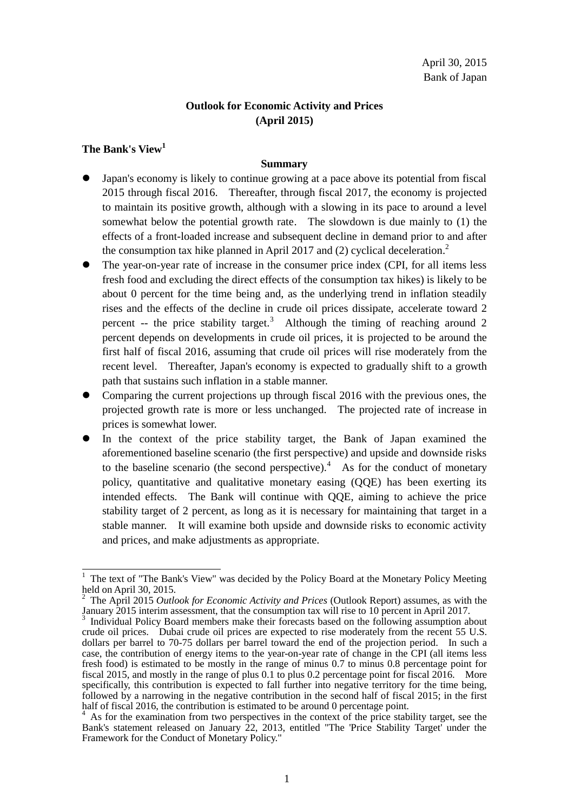# **Outlook for Economic Activity and Prices (April 2015)**

## **The Bank's View<sup>1</sup>**

### **Summary**

- Japan's economy is likely to continue growing at a pace above its potential from fiscal 2015 through fiscal 2016. Thereafter, through fiscal 2017, the economy is projected to maintain its positive growth, although with a slowing in its pace to around a level somewhat below the potential growth rate. The slowdown is due mainly to (1) the effects of a front-loaded increase and subsequent decline in demand prior to and after the consumption tax hike planned in April 2017 and (2) cyclical deceleration.<sup>2</sup>
- The year-on-year rate of increase in the consumer price index (CPI, for all items less fresh food and excluding the direct effects of the consumption tax hikes) is likely to be about 0 percent for the time being and, as the underlying trend in inflation steadily rises and the effects of the decline in crude oil prices dissipate, accelerate toward 2 percent -- the price stability target.<sup>3</sup> Although the timing of reaching around 2 percent depends on developments in crude oil prices, it is projected to be around the first half of fiscal 2016, assuming that crude oil prices will rise moderately from the recent level. Thereafter, Japan's economy is expected to gradually shift to a growth path that sustains such inflation in a stable manner.
- Comparing the current projections up through fiscal 2016 with the previous ones, the projected growth rate is more or less unchanged. The projected rate of increase in prices is somewhat lower.
- In the context of the price stability target, the Bank of Japan examined the aforementioned baseline scenario (the first perspective) and upside and downside risks to the baseline scenario (the second perspective). $4$  As for the conduct of monetary policy, quantitative and qualitative monetary easing (QQE) has been exerting its intended effects. The Bank will continue with QQE, aiming to achieve the price stability target of 2 percent, as long as it is necessary for maintaining that target in a stable manner. It will examine both upside and downside risks to economic activity and prices, and make adjustments as appropriate.

<sup>&</sup>lt;sup>1</sup> The text of "The Bank's View" was decided by the Policy Board at the Monetary Policy Meeting held on April 30, 2015.

<sup>2</sup> The April 2015 *Outlook for Economic Activity and Prices* (Outlook Report) assumes, as with the January 2015 interim assessment, that the consumption tax will rise to 10 percent in April 2017.

Individual Policy Board members make their forecasts based on the following assumption about crude oil prices. Dubai crude oil prices are expected to rise moderately from the recent 55 U.S. dollars per barrel to 70-75 dollars per barrel toward the end of the projection period. In such a case, the contribution of energy items to the year-on-year rate of change in the CPI (all items less fresh food) is estimated to be mostly in the range of minus 0.7 to minus 0.8 percentage point for fiscal 2015, and mostly in the range of plus 0.1 to plus 0.2 percentage point for fiscal 2016. More specifically, this contribution is expected to fall further into negative territory for the time being, followed by a narrowing in the negative contribution in the second half of fiscal 2015; in the first half of fiscal 2016, the contribution is estimated to be around 0 percentage point.

As for the examination from two perspectives in the context of the price stability target, see the Bank's statement released on January 22, 2013, entitled "The 'Price Stability Target' under the Framework for the Conduct of Monetary Policy."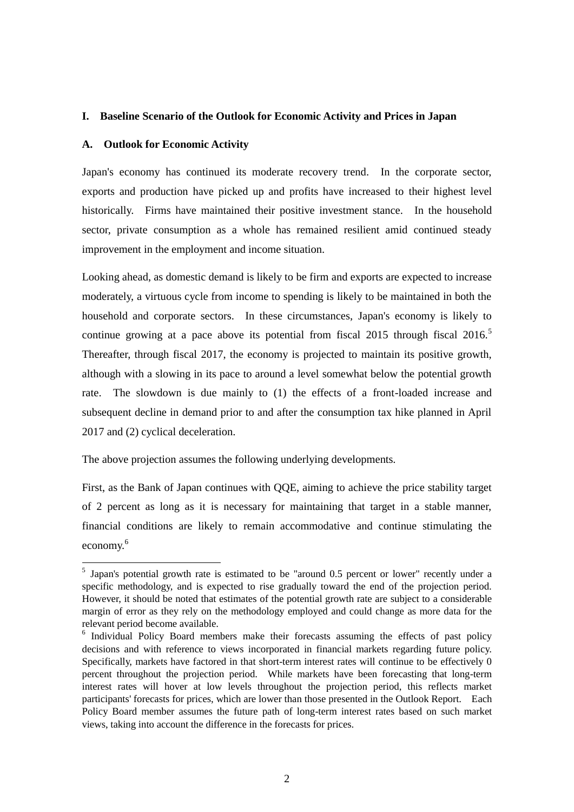#### **I. Baseline Scenario of the Outlook for Economic Activity and Prices in Japan**

#### **A. Outlook for Economic Activity**

-

Japan's economy has continued its moderate recovery trend. In the corporate sector, exports and production have picked up and profits have increased to their highest level historically. Firms have maintained their positive investment stance. In the household sector, private consumption as a whole has remained resilient amid continued steady improvement in the employment and income situation.

Looking ahead, as domestic demand is likely to be firm and exports are expected to increase moderately, a virtuous cycle from income to spending is likely to be maintained in both the household and corporate sectors. In these circumstances, Japan's economy is likely to continue growing at a pace above its potential from fiscal  $2015$  through fiscal  $2016$ .<sup>5</sup> Thereafter, through fiscal 2017, the economy is projected to maintain its positive growth, although with a slowing in its pace to around a level somewhat below the potential growth rate. The slowdown is due mainly to (1) the effects of a front-loaded increase and subsequent decline in demand prior to and after the consumption tax hike planned in April 2017 and (2) cyclical deceleration.

The above projection assumes the following underlying developments.

First, as the Bank of Japan continues with QQE, aiming to achieve the price stability target of 2 percent as long as it is necessary for maintaining that target in a stable manner, financial conditions are likely to remain accommodative and continue stimulating the economy. 6

<sup>&</sup>lt;sup>5</sup> Japan's potential growth rate is estimated to be "around 0.5 percent or lower" recently under a specific methodology, and is expected to rise gradually toward the end of the projection period. However, it should be noted that estimates of the potential growth rate are subject to a considerable margin of error as they rely on the methodology employed and could change as more data for the relevant period become available.

<sup>&</sup>lt;sup>6</sup> Individual Policy Board members make their forecasts assuming the effects of past policy decisions and with reference to views incorporated in financial markets regarding future policy. Specifically, markets have factored in that short-term interest rates will continue to be effectively 0 percent throughout the projection period. While markets have been forecasting that long-term interest rates will hover at low levels throughout the projection period, this reflects market participants' forecasts for prices, which are lower than those presented in the Outlook Report. Each Policy Board member assumes the future path of long-term interest rates based on such market views, taking into account the difference in the forecasts for prices.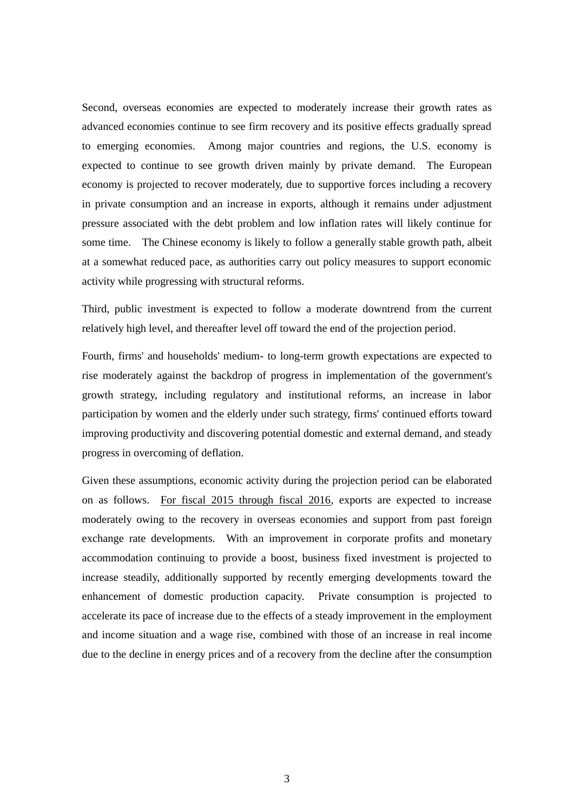Second, overseas economies are expected to moderately increase their growth rates as advanced economies continue to see firm recovery and its positive effects gradually spread to emerging economies. Among major countries and regions, the U.S. economy is expected to continue to see growth driven mainly by private demand. The European economy is projected to recover moderately, due to supportive forces including a recovery in private consumption and an increase in exports, although it remains under adjustment pressure associated with the debt problem and low inflation rates will likely continue for some time. The Chinese economy is likely to follow a generally stable growth path, albeit at a somewhat reduced pace, as authorities carry out policy measures to support economic activity while progressing with structural reforms.

Third, public investment is expected to follow a moderate downtrend from the current relatively high level, and thereafter level off toward the end of the projection period.

Fourth, firms' and households' medium- to long-term growth expectations are expected to rise moderately against the backdrop of progress in implementation of the government's growth strategy, including regulatory and institutional reforms, an increase in labor participation by women and the elderly under such strategy, firms' continued efforts toward improving productivity and discovering potential domestic and external demand, and steady progress in overcoming of deflation.

Given these assumptions, economic activity during the projection period can be elaborated on as follows. For fiscal 2015 through fiscal 2016, exports are expected to increase moderately owing to the recovery in overseas economies and support from past foreign exchange rate developments. With an improvement in corporate profits and monetary accommodation continuing to provide a boost, business fixed investment is projected to increase steadily, additionally supported by recently emerging developments toward the enhancement of domestic production capacity. Private consumption is projected to accelerate its pace of increase due to the effects of a steady improvement in the employment and income situation and a wage rise, combined with those of an increase in real income due to the decline in energy prices and of a recovery from the decline after the consumption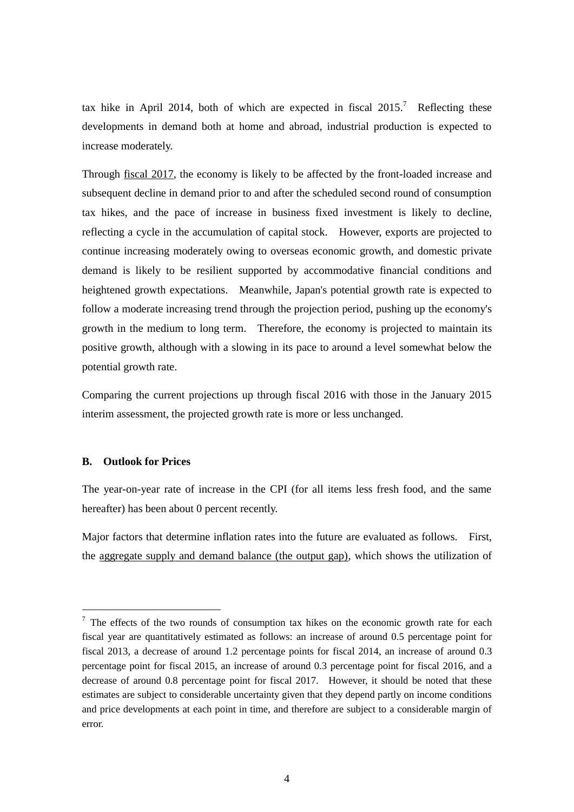tax hike in April 2014, both of which are expected in fiscal  $2015$ .<sup>7</sup> Reflecting these developments in demand both at home and abroad, industrial production is expected to increase moderately.

Through fiscal 2017, the economy is likely to be affected by the front-loaded increase and subsequent decline in demand prior to and after the scheduled second round of consumption tax hikes, and the pace of increase in business fixed investment is likely to decline, reflecting a cycle in the accumulation of capital stock. However, exports are projected to continue increasing moderately owing to overseas economic growth, and domestic private demand is likely to be resilient supported by accommodative financial conditions and heightened growth expectations. Meanwhile, Japan's potential growth rate is expected to follow a moderate increasing trend through the projection period, pushing up the economy's growth in the medium to long term. Therefore, the economy is projected to maintain its positive growth, although with a slowing in its pace to around a level somewhat below the potential growth rate.

Comparing the current projections up through fiscal 2016 with those in the January 2015 interim assessment, the projected growth rate is more or less unchanged.

### **B. Outlook for Prices**

-

The year-on-year rate of increase in the CPI (for all items less fresh food, and the same hereafter) has been about 0 percent recently.

Major factors that determine inflation rates into the future are evaluated as follows. First, the aggregate supply and demand balance (the output gap), which shows the utilization of

 $7$  The effects of the two rounds of consumption tax hikes on the economic growth rate for each fiscal year are quantitatively estimated as follows: an increase of around 0.5 percentage point for fiscal 2013, a decrease of around 1.2 percentage points for fiscal 2014, an increase of around 0.3 percentage point for fiscal 2015, an increase of around 0.3 percentage point for fiscal 2016, and a decrease of around 0.8 percentage point for fiscal 2017. However, it should be noted that these estimates are subject to considerable uncertainty given that they depend partly on income conditions and price developments at each point in time, and therefore are subject to a considerable margin of error.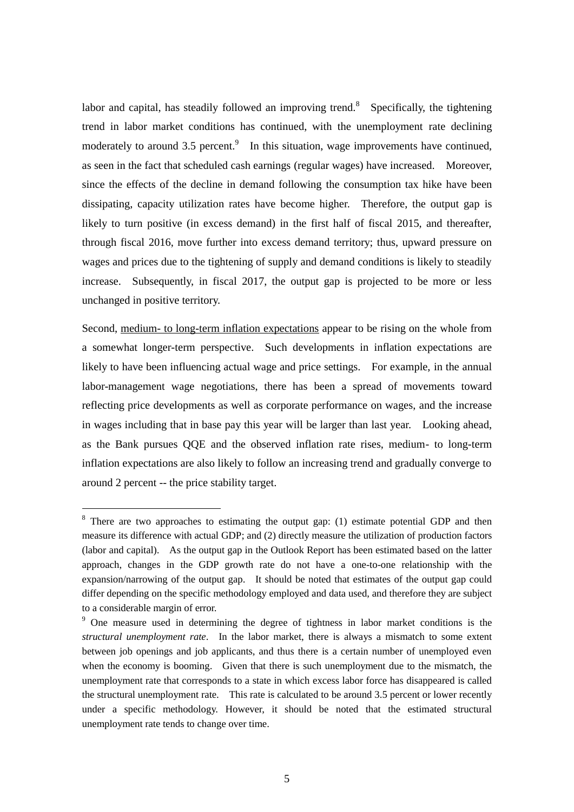labor and capital, has steadily followed an improving trend.<sup>8</sup> Specifically, the tightening trend in labor market conditions has continued, with the unemployment rate declining moderately to around  $3.5$  percent.<sup>9</sup> In this situation, wage improvements have continued, as seen in the fact that scheduled cash earnings (regular wages) have increased. Moreover, since the effects of the decline in demand following the consumption tax hike have been dissipating, capacity utilization rates have become higher. Therefore, the output gap is likely to turn positive (in excess demand) in the first half of fiscal 2015, and thereafter, through fiscal 2016, move further into excess demand territory; thus, upward pressure on wages and prices due to the tightening of supply and demand conditions is likely to steadily increase. Subsequently, in fiscal 2017, the output gap is projected to be more or less unchanged in positive territory.

Second, medium- to long-term inflation expectations appear to be rising on the whole from a somewhat longer-term perspective. Such developments in inflation expectations are likely to have been influencing actual wage and price settings. For example, in the annual labor-management wage negotiations, there has been a spread of movements toward reflecting price developments as well as corporate performance on wages, and the increase in wages including that in base pay this year will be larger than last year. Looking ahead, as the Bank pursues QQE and the observed inflation rate rises, medium- to long-term inflation expectations are also likely to follow an increasing trend and gradually converge to around 2 percent -- the price stability target.

-

<sup>&</sup>lt;sup>8</sup> There are two approaches to estimating the output gap: (1) estimate potential GDP and then measure its difference with actual GDP; and (2) directly measure the utilization of production factors (labor and capital). As the output gap in the Outlook Report has been estimated based on the latter approach, changes in the GDP growth rate do not have a one-to-one relationship with the expansion/narrowing of the output gap. It should be noted that estimates of the output gap could differ depending on the specific methodology employed and data used, and therefore they are subject to a considerable margin of error.

<sup>9</sup> One measure used in determining the degree of tightness in labor market conditions is the *structural unemployment rate*. In the labor market, there is always a mismatch to some extent between job openings and job applicants, and thus there is a certain number of unemployed even when the economy is booming. Given that there is such unemployment due to the mismatch, the unemployment rate that corresponds to a state in which excess labor force has disappeared is called the structural unemployment rate. This rate is calculated to be around 3.5 percent or lower recently under a specific methodology. However, it should be noted that the estimated structural unemployment rate tends to change over time.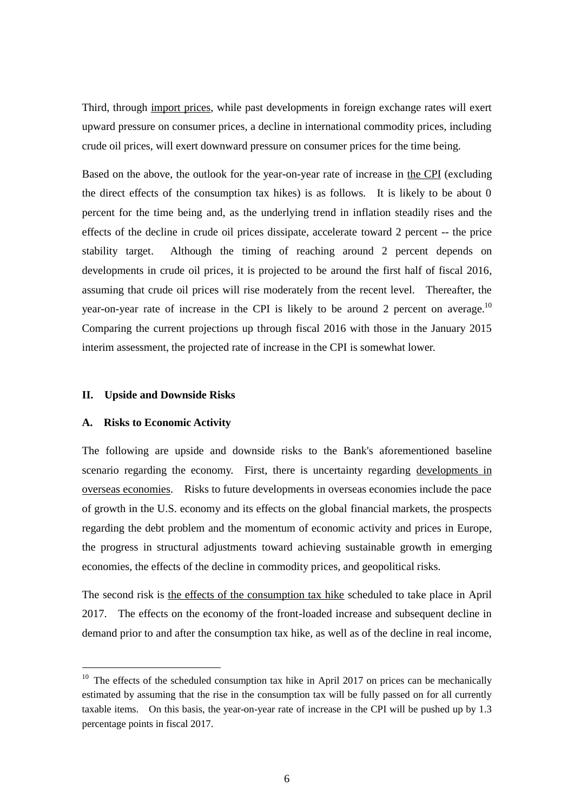Third, through import prices, while past developments in foreign exchange rates will exert upward pressure on consumer prices, a decline in international commodity prices, including crude oil prices, will exert downward pressure on consumer prices for the time being.

Based on the above, the outlook for the year-on-year rate of increase in the CPI (excluding the direct effects of the consumption tax hikes) is as follows. It is likely to be about 0 percent for the time being and, as the underlying trend in inflation steadily rises and the effects of the decline in crude oil prices dissipate, accelerate toward 2 percent -- the price stability target. Although the timing of reaching around 2 percent depends on developments in crude oil prices, it is projected to be around the first half of fiscal 2016, assuming that crude oil prices will rise moderately from the recent level. Thereafter, the year-on-year rate of increase in the CPI is likely to be around 2 percent on average.<sup>10</sup> Comparing the current projections up through fiscal 2016 with those in the January 2015 interim assessment, the projected rate of increase in the CPI is somewhat lower.

#### **II. Upside and Downside Risks**

#### **A. Risks to Economic Activity**

-

The following are upside and downside risks to the Bank's aforementioned baseline scenario regarding the economy. First, there is uncertainty regarding developments in overseas economies. Risks to future developments in overseas economies include the pace of growth in the U.S. economy and its effects on the global financial markets, the prospects regarding the debt problem and the momentum of economic activity and prices in Europe, the progress in structural adjustments toward achieving sustainable growth in emerging economies, the effects of the decline in commodity prices, and geopolitical risks.

The second risk is the effects of the consumption tax hike scheduled to take place in April 2017. The effects on the economy of the front-loaded increase and subsequent decline in demand prior to and after the consumption tax hike, as well as of the decline in real income,

 $10$  The effects of the scheduled consumption tax hike in April 2017 on prices can be mechanically estimated by assuming that the rise in the consumption tax will be fully passed on for all currently taxable items. On this basis, the year-on-year rate of increase in the CPI will be pushed up by 1.3 percentage points in fiscal 2017.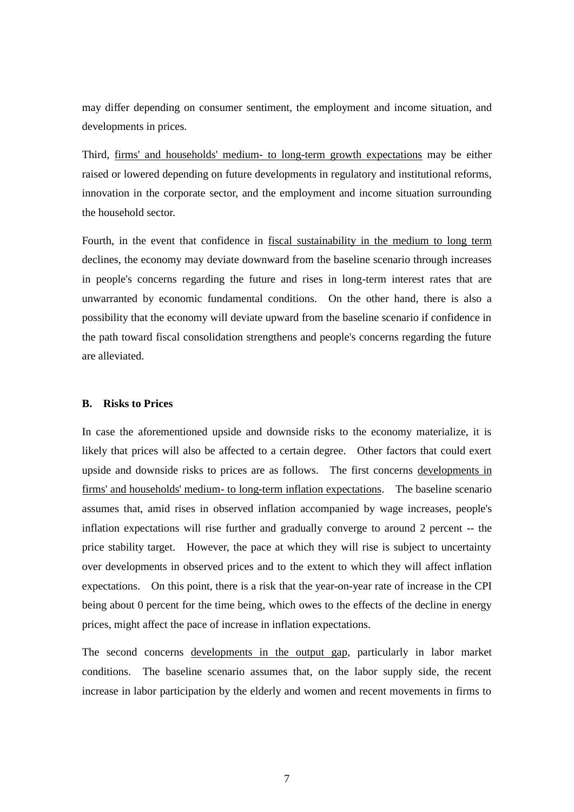may differ depending on consumer sentiment, the employment and income situation, and developments in prices.

Third, firms' and households' medium- to long-term growth expectations may be either raised or lowered depending on future developments in regulatory and institutional reforms, innovation in the corporate sector, and the employment and income situation surrounding the household sector.

Fourth, in the event that confidence in fiscal sustainability in the medium to long term declines, the economy may deviate downward from the baseline scenario through increases in people's concerns regarding the future and rises in long-term interest rates that are unwarranted by economic fundamental conditions. On the other hand, there is also a possibility that the economy will deviate upward from the baseline scenario if confidence in the path toward fiscal consolidation strengthens and people's concerns regarding the future are alleviated.

#### **B. Risks to Prices**

In case the aforementioned upside and downside risks to the economy materialize, it is likely that prices will also be affected to a certain degree. Other factors that could exert upside and downside risks to prices are as follows. The first concerns developments in firms' and households' medium- to long-term inflation expectations. The baseline scenario assumes that, amid rises in observed inflation accompanied by wage increases, people's inflation expectations will rise further and gradually converge to around 2 percent -- the price stability target. However, the pace at which they will rise is subject to uncertainty over developments in observed prices and to the extent to which they will affect inflation expectations. On this point, there is a risk that the year-on-year rate of increase in the CPI being about 0 percent for the time being, which owes to the effects of the decline in energy prices, might affect the pace of increase in inflation expectations.

The second concerns developments in the output gap, particularly in labor market conditions. The baseline scenario assumes that, on the labor supply side, the recent increase in labor participation by the elderly and women and recent movements in firms to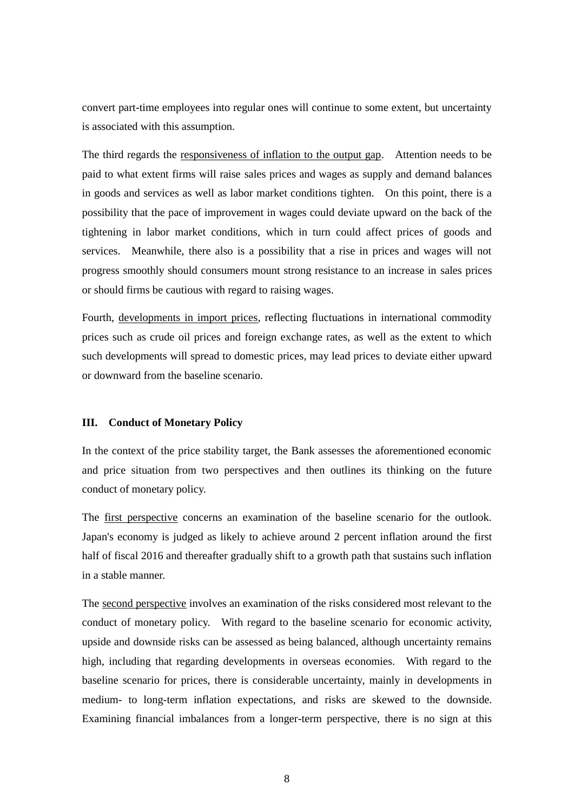convert part-time employees into regular ones will continue to some extent, but uncertainty is associated with this assumption.

The third regards the responsiveness of inflation to the output gap. Attention needs to be paid to what extent firms will raise sales prices and wages as supply and demand balances in goods and services as well as labor market conditions tighten. On this point, there is a possibility that the pace of improvement in wages could deviate upward on the back of the tightening in labor market conditions, which in turn could affect prices of goods and services. Meanwhile, there also is a possibility that a rise in prices and wages will not progress smoothly should consumers mount strong resistance to an increase in sales prices or should firms be cautious with regard to raising wages.

Fourth, developments in import prices, reflecting fluctuations in international commodity prices such as crude oil prices and foreign exchange rates, as well as the extent to which such developments will spread to domestic prices, may lead prices to deviate either upward or downward from the baseline scenario.

### **III. Conduct of Monetary Policy**

In the context of the price stability target, the Bank assesses the aforementioned economic and price situation from two perspectives and then outlines its thinking on the future conduct of monetary policy.

The first perspective concerns an examination of the baseline scenario for the outlook. Japan's economy is judged as likely to achieve around 2 percent inflation around the first half of fiscal 2016 and thereafter gradually shift to a growth path that sustains such inflation in a stable manner.

The second perspective involves an examination of the risks considered most relevant to the conduct of monetary policy. With regard to the baseline scenario for economic activity, upside and downside risks can be assessed as being balanced, although uncertainty remains high, including that regarding developments in overseas economies. With regard to the baseline scenario for prices, there is considerable uncertainty, mainly in developments in medium- to long-term inflation expectations, and risks are skewed to the downside. Examining financial imbalances from a longer-term perspective, there is no sign at this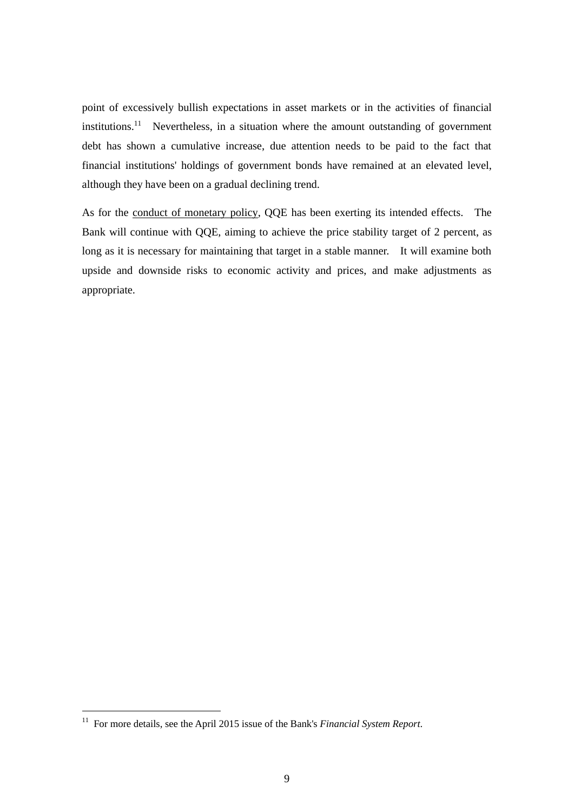point of excessively bullish expectations in asset markets or in the activities of financial institutions.<sup>11</sup> Nevertheless, in a situation where the amount outstanding of government debt has shown a cumulative increase, due attention needs to be paid to the fact that financial institutions' holdings of government bonds have remained at an elevated level, although they have been on a gradual declining trend.

As for the conduct of monetary policy, QQE has been exerting its intended effects. The Bank will continue with QQE, aiming to achieve the price stability target of 2 percent, as long as it is necessary for maintaining that target in a stable manner. It will examine both upside and downside risks to economic activity and prices, and make adjustments as appropriate.

-

<sup>&</sup>lt;sup>11</sup> For more details, see the April 2015 issue of the Bank's *Financial System Report*.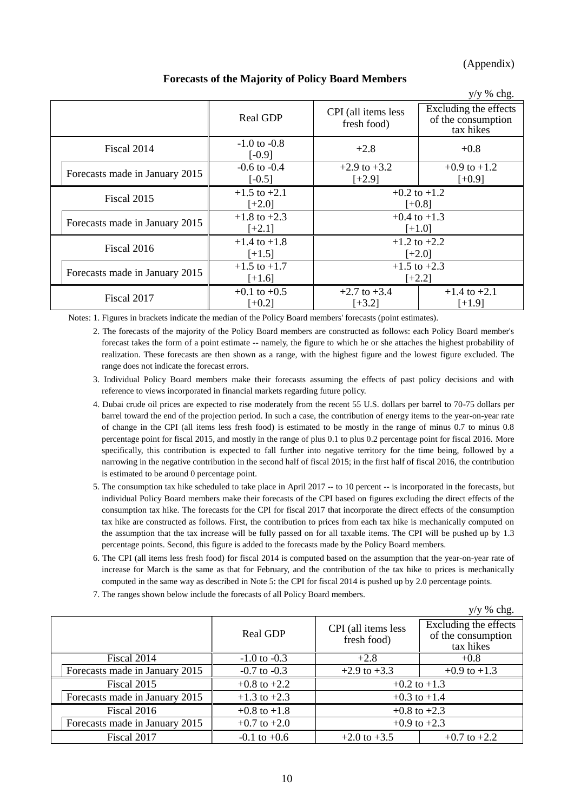(Appendix)

|                                |                              |                                    | $y/y$ % chg.                                             |
|--------------------------------|------------------------------|------------------------------------|----------------------------------------------------------|
|                                | Real GDP                     | CPI (all items less<br>fresh food) | Excluding the effects<br>of the consumption<br>tax hikes |
| Fiscal 2014                    | $-1.0$ to $-0.8$<br>$[-0.9]$ | $+2.8$                             | $+0.8$                                                   |
| Forecasts made in January 2015 | $-0.6$ to $-0.4$<br>$[-0.5]$ | $+2.9$ to $+3.2$<br>$[+2.9]$       | $+0.9$ to $+1.2$<br>$[+0.9]$                             |
| Fiscal 2015                    | $+1.5$ to $+2.1$<br>$[-2.0]$ | $+0.2$ to $+1.2$<br>$[-0.8]$       |                                                          |
| Forecasts made in January 2015 | $+1.8$ to $+2.3$<br>$[-2.1]$ | $+0.4$ to $+1.3$<br>$[+1.0]$       |                                                          |
| Fiscal 2016                    | $+1.4$ to $+1.8$<br>$[-1.5]$ | $+1.2$ to $+2.2$<br>$[-2.0]$       |                                                          |
| Forecasts made in January 2015 | $+1.5$ to $+1.7$<br>$[+1.6]$ | $+1.5$ to $+2.3$<br>$[-2.2]$       |                                                          |
| Fiscal 2017                    | $+0.1$ to $+0.5$<br>$[-0.2]$ | $+2.7$ to $+3.4$<br>$[-3.2]$       | $+1.4$ to $+2.1$<br>$[-1.9]$                             |

## **Forecasts of the Majority of Policy Board Members**

Notes: 1. Figures in brackets indicate the median of the Policy Board members' forecasts (point estimates).

2. The forecasts of the majority of the Policy Board members are constructed as follows: each Policy Board member's forecast takes the form of a point estimate -- namely, the figure to which he or she attaches the highest probability of realization. These forecasts are then shown as a range, with the highest figure and the lowest figure excluded. The range does not indicate the forecast errors.

3. Individual Policy Board members make their forecasts assuming the effects of past policy decisions and with reference to views incorporated in financial markets regarding future policy.

4. Dubai crude oil prices are expected to rise moderately from the recent 55 U.S. dollars per barrel to 70-75 dollars per barrel toward the end of the projection period. In such a case, the contribution of energy items to the year-on-year rate of change in the CPI (all items less fresh food) is estimated to be mostly in the range of minus 0.7 to minus 0.8 percentage point for fiscal 2015, and mostly in the range of plus 0.1 to plus 0.2 percentage point for fiscal 2016. More specifically, this contribution is expected to fall further into negative territory for the time being, followed by a narrowing in the negative contribution in the second half of fiscal 2015; in the first half of fiscal 2016, the contribution is estimated to be around 0 percentage point.

- 5. The consumption tax hike scheduled to take place in April 2017 -- to 10 percent -- is incorporated in the forecasts, but individual Policy Board members make their forecasts of the CPI based on figures excluding the direct effects of the consumption tax hike. The forecasts for the CPI for fiscal 2017 that incorporate the direct effects of the consumption tax hike are constructed as follows. First, the contribution to prices from each tax hike is mechanically computed on the assumption that the tax increase will be fully passed on for all taxable items. The CPI will be pushed up by 1.3 percentage points. Second, this figure is added to the forecasts made by the Policy Board members.
- 6. The CPI (all items less fresh food) for fiscal 2014 is computed based on the assumption that the year-on-year rate of increase for March is the same as that for February, and the contribution of the tax hike to prices is mechanically computed in the same way as described in Note 5: the CPI for fiscal 2014 is pushed up by 2.0 percentage points.
- 7. The ranges shown below include the forecasts of all Policy Board members.

|                                |                  |                                    | $y/y \%$ chg.                                            |
|--------------------------------|------------------|------------------------------------|----------------------------------------------------------|
|                                | <b>Real GDP</b>  | CPI (all items less<br>fresh food) | Excluding the effects<br>of the consumption<br>tax hikes |
| Fiscal 2014                    | $-1.0$ to $-0.3$ | $+2.8$                             | $+0.8$                                                   |
| Forecasts made in January 2015 | $-0.7$ to $-0.3$ | $+2.9$ to $+3.3$                   | $+0.9$ to $+1.3$                                         |
| Fiscal 2015                    | $+0.8$ to $+2.2$ | $+0.2$ to $+1.3$                   |                                                          |
| Forecasts made in January 2015 | $+1.3$ to $+2.3$ | $+0.3$ to $+1.4$                   |                                                          |
| Fiscal 2016                    | $+0.8$ to $+1.8$ | $+0.8$ to $+2.3$                   |                                                          |
| Forecasts made in January 2015 | $+0.7$ to $+2.0$ | $+0.9$ to $+2.3$                   |                                                          |
| Fiscal 2017                    | $-0.1$ to $+0.6$ | $+2.0$ to $+3.5$                   | $+0.7$ to $+2.2$                                         |